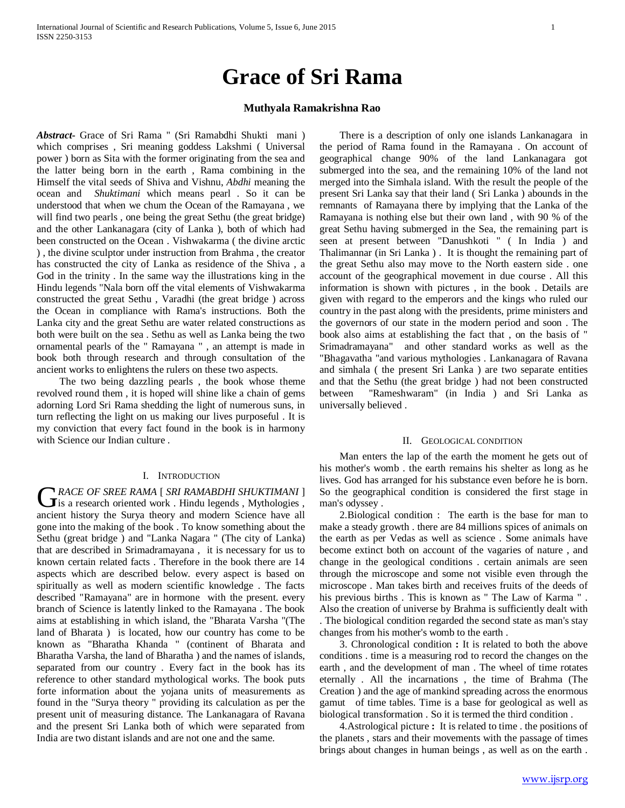# **Grace of Sri Rama**

# **Muthyala Ramakrishna Rao**

*Abstract***-** Grace of Sri Rama " (Sri Ramabdhi Shukti mani ) which comprises , Sri meaning goddess Lakshmi ( Universal power ) born as Sita with the former originating from the sea and the latter being born in the earth , Rama combining in the Himself the vital seeds of Shiva and Vishnu, *Abdhi* meaning the ocean and *Shuktimani* which means pearl . So it can be understood that when we chum the Ocean of the Ramayana , we will find two pearls , one being the great Sethu (the great bridge) and the other Lankanagara (city of Lanka ), both of which had been constructed on the Ocean . Vishwakarma ( the divine arctic ) , the divine sculptor under instruction from Brahma , the creator has constructed the city of Lanka as residence of the Shiva , a God in the trinity . In the same way the illustrations king in the Hindu legends "Nala born off the vital elements of Vishwakarma constructed the great Sethu , Varadhi (the great bridge ) across the Ocean in compliance with Rama's instructions. Both the Lanka city and the great Sethu are water related constructions as both were built on the sea . Sethu as well as Lanka being the two ornamental pearls of the " Ramayana " , an attempt is made in book both through research and through consultation of the ancient works to enlightens the rulers on these two aspects.

 The two being dazzling pearls , the book whose theme revolved round them , it is hoped will shine like a chain of gems adorning Lord Sri Rama shedding the light of numerous suns, in turn reflecting the light on us making our lives purposeful . It is my conviction that every fact found in the book is in harmony with Science our Indian culture .

### I. INTRODUCTION

*RACE OF SREE RAMA* [ *SRI RAMABDHI SHUKTIMANI* ] GRACE OF SREE RAMA [ SRI RAMABDHI SHUKTIMANI ]<br>
is a research oriented work . Hindu legends , Mythologies , ancient history the Surya theory and modern Science have all gone into the making of the book . To know something about the Sethu (great bridge ) and "Lanka Nagara " (The city of Lanka) that are described in Srimadramayana , it is necessary for us to known certain related facts . Therefore in the book there are 14 aspects which are described below. every aspect is based on spiritually as well as modern scientific knowledge . The facts described "Ramayana" are in hormone with the present. every branch of Science is latently linked to the Ramayana . The book aims at establishing in which island, the "Bharata Varsha "(The land of Bharata ) is located, how our country has come to be known as "Bharatha Khanda " (continent of Bharata and Bharatha Varsha, the land of Bharatha ) and the names of islands, separated from our country . Every fact in the book has its reference to other standard mythological works. The book puts forte information about the yojana units of measurements as found in the "Surya theory " providing its calculation as per the present unit of measuring distance. The Lankanagara of Ravana and the present Sri Lanka both of which were separated from India are two distant islands and are not one and the same.

 There is a description of only one islands Lankanagara in the period of Rama found in the Ramayana . On account of geographical change 90% of the land Lankanagara got submerged into the sea, and the remaining 10% of the land not merged into the Simhala island. With the result the people of the present Sri Lanka say that their land ( Sri Lanka ) abounds in the remnants of Ramayana there by implying that the Lanka of the Ramayana is nothing else but their own land , with 90 % of the great Sethu having submerged in the Sea, the remaining part is seen at present between "Danushkoti " ( In India ) and Thalimannar (in Sri Lanka ) . It is thought the remaining part of the great Sethu also may move to the North eastern side . one account of the geographical movement in due course . All this information is shown with pictures , in the book . Details are given with regard to the emperors and the kings who ruled our country in the past along with the presidents, prime ministers and the governors of our state in the modern period and soon . The book also aims at establishing the fact that , on the basis of " Srimadramayana" and other standard works as well as the "Bhagavatha "and various mythologies . Lankanagara of Ravana and simhala ( the present Sri Lanka ) are two separate entities and that the Sethu (the great bridge ) had not been constructed between "Rameshwaram" (in India ) and Sri Lanka as universally believed .

#### II. GEOLOGICAL CONDITION

 Man enters the lap of the earth the moment he gets out of his mother's womb . the earth remains his shelter as long as he lives. God has arranged for his substance even before he is born. So the geographical condition is considered the first stage in man's odyssey .

 2.Biological condition : The earth is the base for man to make a steady growth . there are 84 millions spices of animals on the earth as per Vedas as well as science . Some animals have become extinct both on account of the vagaries of nature , and change in the geological conditions . certain animals are seen through the microscope and some not visible even through the microscope . Man takes birth and receives fruits of the deeds of his previous births . This is known as " The Law of Karma " . Also the creation of universe by Brahma is sufficiently dealt with . The biological condition regarded the second state as man's stay changes from his mother's womb to the earth .

 3. Chronological condition **:** It is related to both the above conditions . time is a measuring rod to record the changes on the earth , and the development of man . The wheel of time rotates eternally . All the incarnations , the time of Brahma (The Creation ) and the age of mankind spreading across the enormous gamut of time tables. Time is a base for geological as well as biological transformation . So it is termed the third condition .

 4.Astrological picture **:** It is related to time . the positions of the planets , stars and their movements with the passage of times brings about changes in human beings , as well as on the earth .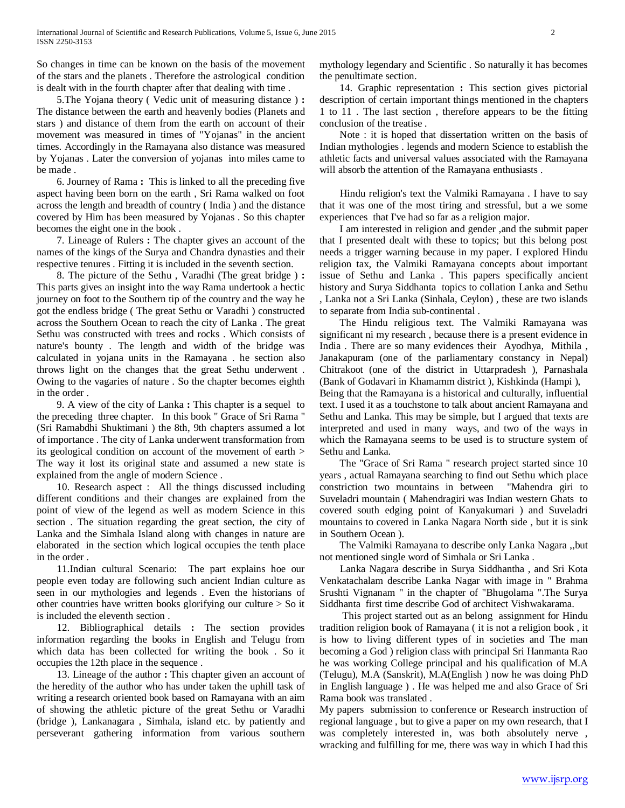So changes in time can be known on the basis of the movement of the stars and the planets . Therefore the astrological condition is dealt with in the fourth chapter after that dealing with time .

 5.The Yojana theory ( Vedic unit of measuring distance ) **:**  The distance between the earth and heavenly bodies (Planets and stars ) and distance of them from the earth on account of their movement was measured in times of "Yojanas" in the ancient times. Accordingly in the Ramayana also distance was measured by Yojanas . Later the conversion of yojanas into miles came to be made .

 6. Journey of Rama **:** This is linked to all the preceding five aspect having been born on the earth , Sri Rama walked on foot across the length and breadth of country ( India ) and the distance covered by Him has been measured by Yojanas . So this chapter becomes the eight one in the book .

 7. Lineage of Rulers **:** The chapter gives an account of the names of the kings of the Surya and Chandra dynasties and their respective tenures . Fitting it is included in the seventh section.

 8. The picture of the Sethu , Varadhi (The great bridge ) **:** This parts gives an insight into the way Rama undertook a hectic journey on foot to the Southern tip of the country and the way he got the endless bridge ( The great Sethu or Varadhi ) constructed across the Southern Ocean to reach the city of Lanka . The great Sethu was constructed with trees and rocks . Which consists of nature's bounty . The length and width of the bridge was calculated in yojana units in the Ramayana . he section also throws light on the changes that the great Sethu underwent . Owing to the vagaries of nature . So the chapter becomes eighth in the order .

 9. A view of the city of Lanka **:** This chapter is a sequel to the preceding three chapter. In this book " Grace of Sri Rama " (Sri Ramabdhi Shuktimani ) the 8th, 9th chapters assumed a lot of importance . The city of Lanka underwent transformation from its geological condition on account of the movement of earth > The way it lost its original state and assumed a new state is explained from the angle of modern Science .

 10. Research aspect : All the things discussed including different conditions and their changes are explained from the point of view of the legend as well as modern Science in this section . The situation regarding the great section, the city of Lanka and the Simhala Island along with changes in nature are elaborated in the section which logical occupies the tenth place in the order .

 11.Indian cultural Scenario: The part explains hoe our people even today are following such ancient Indian culture as seen in our mythologies and legends . Even the historians of other countries have written books glorifying our culture > So it is included the eleventh section .

 12. Bibliographical details **:** The section provides information regarding the books in English and Telugu from which data has been collected for writing the book . So it occupies the 12th place in the sequence .

 13. Lineage of the author **:** This chapter given an account of the heredity of the author who has under taken the uphill task of writing a research oriented book based on Ramayana with an aim of showing the athletic picture of the great Sethu or Varadhi (bridge ), Lankanagara , Simhala, island etc. by patiently and perseverant gathering information from various southern mythology legendary and Scientific . So naturally it has becomes the penultimate section.

 14. Graphic representation **:** This section gives pictorial description of certain important things mentioned in the chapters 1 to 11 . The last section , therefore appears to be the fitting conclusion of the treatise .

 Note : it is hoped that dissertation written on the basis of Indian mythologies . legends and modern Science to establish the athletic facts and universal values associated with the Ramayana will absorb the attention of the Ramayana enthusiasts .

 Hindu religion's text the Valmiki Ramayana . I have to say that it was one of the most tiring and stressful, but a we some experiences that I've had so far as a religion major.

 I am interested in religion and gender ,and the submit paper that I presented dealt with these to topics; but this belong post needs a trigger warning because in my paper. I explored Hindu religion tax, the Valmiki Ramayana concepts about important issue of Sethu and Lanka . This papers specifically ancient history and Surya Siddhanta topics to collation Lanka and Sethu , Lanka not a Sri Lanka (Sinhala, Ceylon) , these are two islands to separate from India sub-continental .

 The Hindu religious text. The Valmiki Ramayana was significant ni my research , because there is a present evidence in India . There are so many evidences their Ayodhya, Mithila , Janakapuram (one of the parliamentary constancy in Nepal) Chitrakoot (one of the district in Uttarpradesh ), Parnashala (Bank of Godavari in Khamamm district ), Kishkinda (Hampi ), Being that the Ramayana is a historical and culturally, influential text. I used it as a touchstone to talk about ancient Ramayana and Sethu and Lanka. This may be simple, but I argued that texts are interpreted and used in many ways, and two of the ways in which the Ramayana seems to be used is to structure system of Sethu and Lanka.

 The "Grace of Sri Rama " research project started since 10 years , actual Ramayana searching to find out Sethu which place constriction two mountains in between "Mahendra giri to Suveladri mountain ( Mahendragiri was Indian western Ghats to covered south edging point of Kanyakumari ) and Suveladri mountains to covered in Lanka Nagara North side , but it is sink in Southern Ocean ).

 The Valmiki Ramayana to describe only Lanka Nagara ,,but not mentioned single word of Simhala or Sri Lanka .

 Lanka Nagara describe in Surya Siddhantha , and Sri Kota Venkatachalam describe Lanka Nagar with image in " Brahma Srushti Vignanam " in the chapter of "Bhugolama ".The Surya Siddhanta first time describe God of architect Vishwakarama.

 This project started out as an belong assignment for Hindu tradition religion book of Ramayana ( it is not a religion book , it is how to living different types of in societies and The man becoming a God ) religion class with principal Sri Hanmanta Rao he was working College principal and his qualification of M.A (Telugu), M.A (Sanskrit), M.A(English ) now he was doing PhD in English language ) . He was helped me and also Grace of Sri Rama book was translated .

My papers submission to conference or Research instruction of regional language , but to give a paper on my own research, that I was completely interested in, was both absolutely nerve , wracking and fulfilling for me, there was way in which I had this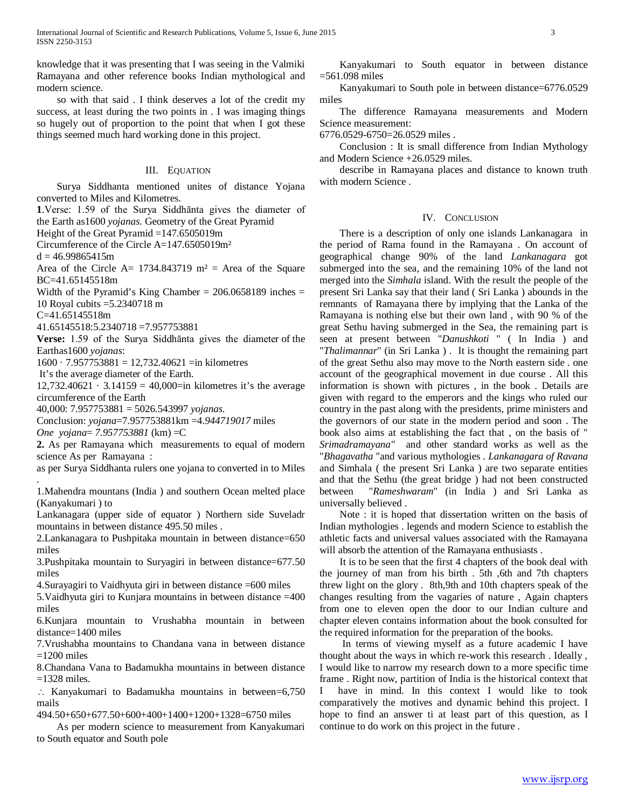knowledge that it was presenting that I was seeing in the Valmiki Ramayana and other reference books Indian mythological and modern science.

 so with that said . I think deserves a lot of the credit my success, at least during the two points in . I was imaging things so hugely out of proportion to the point that when I got these things seemed much hard working done in this project.

## III. EQUATION

 Surya Siddhanta mentioned unites of distance Yojana converted to Miles and Kilometres.

**1**.Verse: 1.59 of the Surya Siddhānta gives the diameter of the Earth as1600 *yojanas*. Geometry of the Great Pyramid

Height of the Great Pyramid =147.6505019m

Circumference of the Circle A=147.6505019m²

 $d = 46.99865415m$ 

Area of the Circle A=  $1734.843719$  m<sup>2</sup> = Area of the Square BC=41.65145518m

Width of the Pyramid's King Chamber =  $206.0658189$  inches = 10 Royal cubits =5.2340718 m

C=41.65145518m

41.65145518:5.2340718 =7.957753881

**Verse:** 1.59 of the Surya Siddhānta gives the diameter of the Earthas1600 *yojanas*:

 $1600 \cdot 7.957753881 = 12,732.40621 =$ in kilometres

It's the average diameter of the Earth.

12,732.40621 · 3.14159 = 40,000=in kilometres it's the average circumference of the Earth

40,000: 7.957753881 = 5026.543997 *yojanas.*

Conclusion: *yojana*=7.957753881km =4.*944719017* miles *One yojana*= *7.957753881* (km) =C

**2.** As per Ramayana which measurements to equal of modern science As per Ramayana :

as per Surya Siddhanta rulers one yojana to converted in to Miles .

1.Mahendra mountans (India ) and southern Ocean melted place (Kanyakumari ) to

Lankanagara (upper side of equator ) Northern side Suveladr mountains in between distance 495.50 miles .

2.Lankanagara to Pushpitaka mountain in between distance=650 miles

3.Pushpitaka mountain to Suryagiri in between distance=677.50 miles

4.Surayagiri to Vaidhyuta giri in between distance =600 miles

5.Vaidhyuta giri to Kunjara mountains in between distance =400 miles

6.Kunjara mountain to Vrushabha mountain in between distance=1400 miles

7.Vrushabha mountains to Chandana vana in between distance  $=1200$  miles

8.Chandana Vana to Badamukha mountains in between distance  $=1328$  miles.

∴ Kanyakumari to Badamukha mountains in between=6,750 mails

494.50+650+677.50+600+400+1400+1200+1328=6750 miles

 As per modern science to measurement from Kanyakumari to South equator and South pole

 Kanyakumari to South equator in between distance =561.098 miles

 Kanyakumari to South pole in between distance=6776.0529 miles

 The difference Ramayana measurements and Modern Science measurement:

6776.0529-6750=26.0529 miles .

 Conclusion : It is small difference from Indian Mythology and Modern Science +26.0529 miles.

 describe in Ramayana places and distance to known truth with modern Science .

# IV. CONCLUSION

 There is a description of only one islands Lankanagara in the period of Rama found in the Ramayana . On account of geographical change 90% of the land *Lankanagara* got submerged into the sea, and the remaining 10% of the land not merged into the *Simhala* island. With the result the people of the present Sri Lanka say that their land ( Sri Lanka ) abounds in the remnants of Ramayana there by implying that the Lanka of the Ramayana is nothing else but their own land , with 90 % of the great Sethu having submerged in the Sea, the remaining part is seen at present between "*Danushkoti* " ( In India ) and "*Thalimannar*" (in Sri Lanka ) . It is thought the remaining part of the great Sethu also may move to the North eastern side . one account of the geographical movement in due course . All this information is shown with pictures , in the book . Details are given with regard to the emperors and the kings who ruled our country in the past along with the presidents, prime ministers and the governors of our state in the modern period and soon . The book also aims at establishing the fact that , on the basis of " *Srimadramayana"* and other standard works as well as the "*Bhagavatha* "and various mythologies . *Lankanagara of Ravana* and Simhala ( the present Sri Lanka ) are two separate entities and that the Sethu (the great bridge ) had not been constructed between "*Rameshwaram*" (in India ) and Sri Lanka as universally believed .

 Note : it is hoped that dissertation written on the basis of Indian mythologies . legends and modern Science to establish the athletic facts and universal values associated with the Ramayana will absorb the attention of the Ramayana enthusiasts .

 It is to be seen that the first 4 chapters of the book deal with the journey of man from his birth . 5th ,6th and 7th chapters threw light on the glory . 8th,9th and 10th chapters speak of the changes resulting from the vagaries of nature , Again chapters from one to eleven open the door to our Indian culture and chapter eleven contains information about the book consulted for the required information for the preparation of the books.

 In terms of viewing myself as a future academic I have thought about the ways in which re-work this research . Ideally , I would like to narrow my research down to a more specific time frame . Right now, partition of India is the historical context that I have in mind. In this context I would like to took comparatively the motives and dynamic behind this project. I hope to find an answer ti at least part of this question, as I continue to do work on this project in the future .